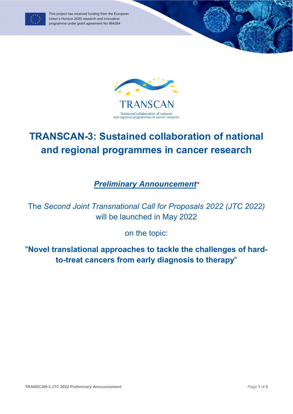

This project has received funding from the European Union's Horizon 2020 research and innovation programme under grant agreement No 964264



6

## **TRANSCAN-3: Sustained collaboration of national and regional programmes in cancer research**

*Preliminary Announcement*

The *Second Joint Transnational Call for Proposals 2022 (JTC 2022)* will be launched in May 2022

on the topic:

"**Novel translational approaches to tackle the challenges of hardto-treat cancers from early diagnosis to therapy**"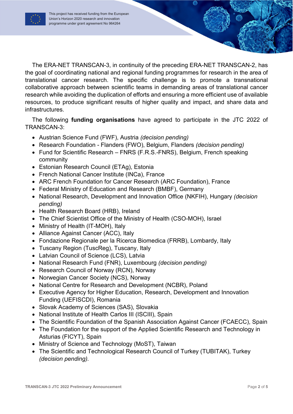

The ERA-NET TRANSCAN-3, in continuity of the preceding ERA-NET TRANSCAN-2, has the goal of coordinating national and regional funding programmes for research in the area of translational cancer research. The specific challenge is to promote a transnational collaborative approach between scientific teams in demanding areas of translational cancer research while avoiding the duplication of efforts and ensuring a more efficient use of available resources, to produce significant results of higher quality and impact, and share data and infrastructures.

The following **funding organisations** have agreed to participate in the JTC 2022 of TRANSCAN-3:

- Austrian Science Fund (FWF), Austria *(decision pending)*
- Research Foundation Flanders (FWO), Belgium, Flanders *(decision pending)*
- Fund for Scientific Research FNRS (F.R.S.-FNRS), Belgium, French speaking community
- Estonian Research Council (ETAg), Estonia
- French National Cancer Institute (INCa), France
- ARC French Foundation for Cancer Research (ARC Foundation), France
- Federal Ministry of Education and Research (BMBF), Germany
- National Research, Development and Innovation Office (NKFIH), Hungary *(decision pending)*
- Health Research Board (HRB), Ireland
- The Chief Scientist Office of the Ministry of Health (CSO-MOH), Israel
- Ministry of Health (IT-MOH), Italy
- Alliance Against Cancer (ACC), Italy
- Fondazione Regionale per la Ricerca Biomedica (FRRB), Lombardy, Italy
- Tuscany Region (TuscReg), Tuscany, Italy
- Latvian Council of Science (LCS), Latvia
- National Research Fund (FNR), Luxembourg *(decision pending)*
- Research Council of Norway (RCN), Norway
- Norwegian Cancer Society (NCS), Norway
- National Centre for Research and Development (NCBR), Poland
- Executive Agency for Higher Education, Research, Development and Innovation Funding (UEFISCDI), Romania
- Slovak Academy of Sciences (SAS), Slovakia
- National Institute of Health Carlos III (ISCIII), Spain
- The Scientific Foundation of the Spanish Association Against Cancer (FCAECC), Spain
- The Foundation for the support of the Applied Scientific Research and Technology in Asturias (FICYT), Spain
- Ministry of Science and Technology (MoST), Taiwan
- The Scientific and Technological Research Council of Turkey (TUBITAK), Turkey *(decision pending).*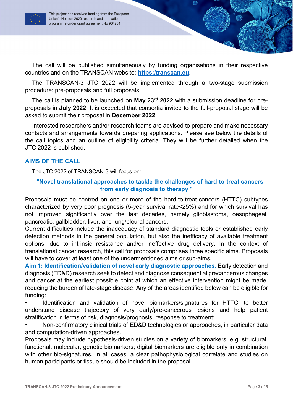

The call will be published simultaneously by funding organisations in their respective countries and on the TRANSCAN website: **https:/transcan.eu**.

The TRANSCAN-3 JTC 2022 will be implemented through a two-stage submission procedure: pre-proposals and full proposals.

The call is planned to be launched on **May 23rd 2022** with a submission deadline for preproposals in **July 2022**. It is expected that consortia invited to the full-proposal stage will be asked to submit their proposal in **December 2022**.

Interested researchers and/or research teams are advised to prepare and make necessary contacts and arrangements towards preparing applications. Please see below the details of the call topics and an outline of eligibility criteria. They will be further detailed when the JTC 2022 is published.

## **AIMS OF THE CALL**

The JTC 2022 of TRANSCAN-3 will focus on:

## **"Novel translational approaches to tackle the challenges of hard-to-treat cancers from early diagnosis to therapy "**

Proposals must be centred on one or more of the hard-to-treat-cancers (HTTC) subtypes characterized by very poor prognosis (5-year survival rate<25%) and for which survival has not improved significantly over the last decades, namely glioblastoma, oesophageal, pancreatic, gallbladder, liver, and lung/pleural cancers.

Current difficulties include the inadequacy of standard diagnostic tools or established early detection methods in the general population, but also the inefficacy of available treatment options, due to intrinsic resistance and/or ineffective drug delivery. In the context of translational cancer research, this call for proposals comprises three specific aims. Proposals will have to cover at least one of the undermentioned aims or sub-aims.

**Aim 1: Identification/validation of novel early diagnostic approaches.** Early detection and diagnosis (ED&D) research seek to detect and diagnose consequential precancerous changes and cancer at the earliest possible point at which an effective intervention might be made, reducing the burden of late-stage disease. Any of the areas identified below can be eligible for funding:

• Identification and validation of novel biomarkers/signatures for HTTC, to better understand disease trajectory of very early/pre-cancerous lesions and help patient stratification in terms of risk, diagnosis/prognosis, response to treatment;

• Non-confirmatory clinical trials of ED&D technologies or approaches, in particular data and computation-driven approaches.

Proposals may include hypothesis-driven studies on a variety of biomarkers, e.g. structural, functional, molecular, genetic biomarkers; digital biomarkers are eligible only in combination with other bio-signatures. In all cases, a clear pathophysiological correlate and studies on human participants or tissue should be included in the proposal.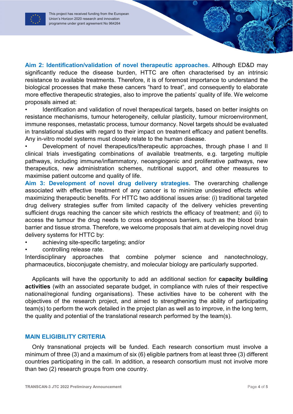**Aim 2: Identification/validation of novel therapeutic approaches.** Although ED&D may significantly reduce the disease burden, HTTC are often characterised by an intrinsic resistance to available treatments. Therefore, it is of foremost importance to understand the biological processes that make these cancers "hard to treat", and consequently to elaborate more effective therapeutic strategies, also to improve the patients' quality of life. We welcome proposals aimed at:

• Identification and validation of novel therapeutical targets, based on better insights on resistance mechanisms, tumour heterogeneity, cellular plasticity, tumour microenvironment, immune responses, metastatic process, tumour dormancy. Novel targets should be evaluated in translational studies with regard to their impact on treatment efficacy and patient benefits. Any in-vitro model systems must closely relate to the human disease.

Development of novel therapeutics/therapeutic approaches, through phase I and II clinical trials investigating combinations of available treatments, e.g. targeting multiple pathways, including immune/inflammatory, neoangiogenic and proliferative pathways, new therapeutics, new administration schemes, nutritional support, and other measures to maximise patient outcome and quality of life.

**Aim 3: Development of novel drug delivery strategies.** The overarching challenge associated with effective treatment of any cancer is to minimize undesired effects while maximizing therapeutic benefits. For HTTC two additional issues arise: (i) traditional targeted drug delivery strategies suffer from limited capacity of the delivery vehicles preventing sufficient drugs reaching the cancer site which restricts the efficacy of treatment; and (ii) to access the tumour the drug needs to cross endogenous barriers, such as the blood brain barrier and tissue stroma. Therefore, we welcome proposals that aim at developing novel drug delivery systems for HTTC by:

- achieving site-specific targeting; and/or
- controlling release rate.

Interdisciplinary approaches that combine polymer science and nanotechnology, pharmaceutics, bioconjugate chemistry, and molecular biology are particularly supported.

Applicants will have the opportunity to add an additional section for **capacity building activities** (with an associated separate budget, in compliance with rules of their respective national/regional funding organisations). These activities have to be coherent with the objectives of the research project, and aimed to strengthening the ability of participating team(s) to perform the work detailed in the project plan as well as to improve, in the long term, the quality and potential of the translational research performed by the team(s).

## **MAIN ELIGIBILITY CRITERIA**

Only transnational projects will be funded. Each research consortium must involve a minimum of three (3) and a maximum of six (6) eligible partners from at least three (3) different countries participating in the call. In addition, a research consortium must not involve more than two (2) research groups from one country.